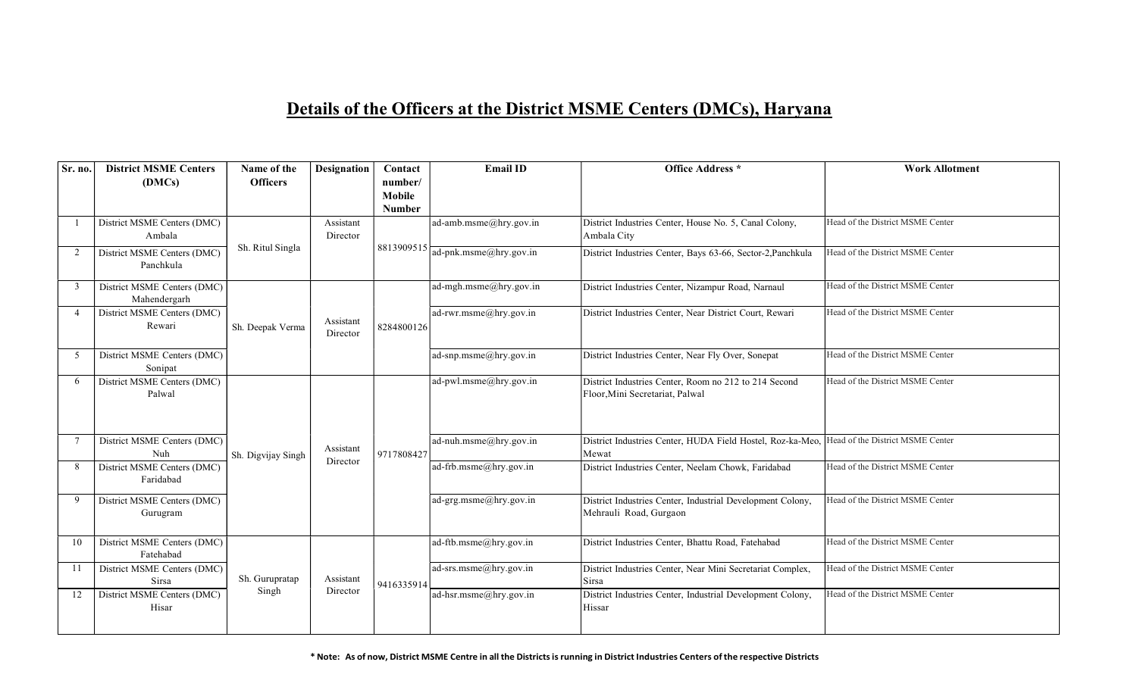## Details of the Officers at the District MSME Centers (DMCs), Haryana

| Sr. no.      | <b>District MSME Centers</b>                | Name of the        | <b>Designation</b>    | Contact                  | <b>Email ID</b>                     | Office Address *                                                                         | <b>Work Allotment</b>            |
|--------------|---------------------------------------------|--------------------|-----------------------|--------------------------|-------------------------------------|------------------------------------------------------------------------------------------|----------------------------------|
|              | (DMCs)                                      | <b>Officers</b>    |                       | number/<br><b>Mobile</b> |                                     |                                                                                          |                                  |
|              |                                             |                    |                       | <b>Number</b>            |                                     |                                                                                          |                                  |
|              | District MSME Centers (DMC)<br>Ambala       | Sh. Ritul Singla   | Assistant<br>Director |                          | ad-amb.msme@hry.gov.in              | District Industries Center, House No. 5, Canal Colony,<br>Ambala City                    | Head of the District MSME Center |
| 2            | District MSME Centers (DMC)<br>Panchkula    |                    |                       |                          | $8813909515$ ad-pnk.msme@hry.gov.in | District Industries Center, Bays 63-66, Sector-2, Panchkula                              | Head of the District MSME Center |
| 3            | District MSME Centers (DMC)<br>Mahendergarh |                    | Assistant<br>Director | 8284800126               | ad-mgh.msme@hry.gov.in              | District Industries Center, Nizampur Road, Narnaul                                       | Head of the District MSME Center |
|              | District MSME Centers (DMC)<br>Rewari       | Sh. Deepak Verma   |                       |                          | ad-rwr.msme@hry.gov.in              | District Industries Center, Near District Court, Rewari                                  | Head of the District MSME Center |
| -5           | District MSME Centers (DMC)<br>Sonipat      |                    |                       |                          | $ad$ -snp.msme@hry.gov.in           | District Industries Center, Near Fly Over, Sonepat                                       | Head of the District MSME Center |
| 6            | District MSME Centers (DMC)<br>Palwal       |                    |                       |                          | ad-pwl.msme@hry.gov.in              | District Industries Center, Room no 212 to 214 Second<br>Floor, Mini Secretariat, Palwal | Head of the District MSME Center |
|              | District MSME Centers (DMC)<br>Nuh          | Sh. Digvijay Singh | Assistant             | 9717808427               | ad-nuh.msme@hry.gov.in              | District Industries Center, HUDA Field Hostel, Roz-ka-Meo,<br>Mewat                      | Head of the District MSME Center |
| 8            | District MSME Centers (DMC)<br>Faridabad    |                    | Director              |                          | ad-frb.msme@hry.gov.in              | District Industries Center, Neelam Chowk, Faridabad                                      | Head of the District MSME Center |
| <sup>Q</sup> | District MSME Centers (DMC)<br>Gurugram     |                    |                       |                          | ad-grg.msme@hry.gov.in              | District Industries Center, Industrial Development Colony,<br>Mehrauli Road, Gurgaon     | Head of the District MSME Center |
| 10           | District MSME Centers (DMC)<br>Fatehabad    |                    |                       |                          | ad-ftb.msme@hry.gov.in              | District Industries Center, Bhattu Road, Fatehabad                                       | Head of the District MSME Center |
|              | District MSME Centers (DMC)<br>Sirsa        | Sh. Gurupratap     | Assistant             | 9416335914               | ad-srs.msme@hry.gov.in              | District Industries Center, Near Mini Secretariat Complex,<br>Sirsa                      | Head of the District MSME Center |
|              | District MSME Centers (DMC)<br>Hisar        | Director<br>Singh  |                       |                          | ad-hsr.msme@hry.gov.in              | District Industries Center, Industrial Development Colony,<br>Hissar                     | Head of the District MSME Center |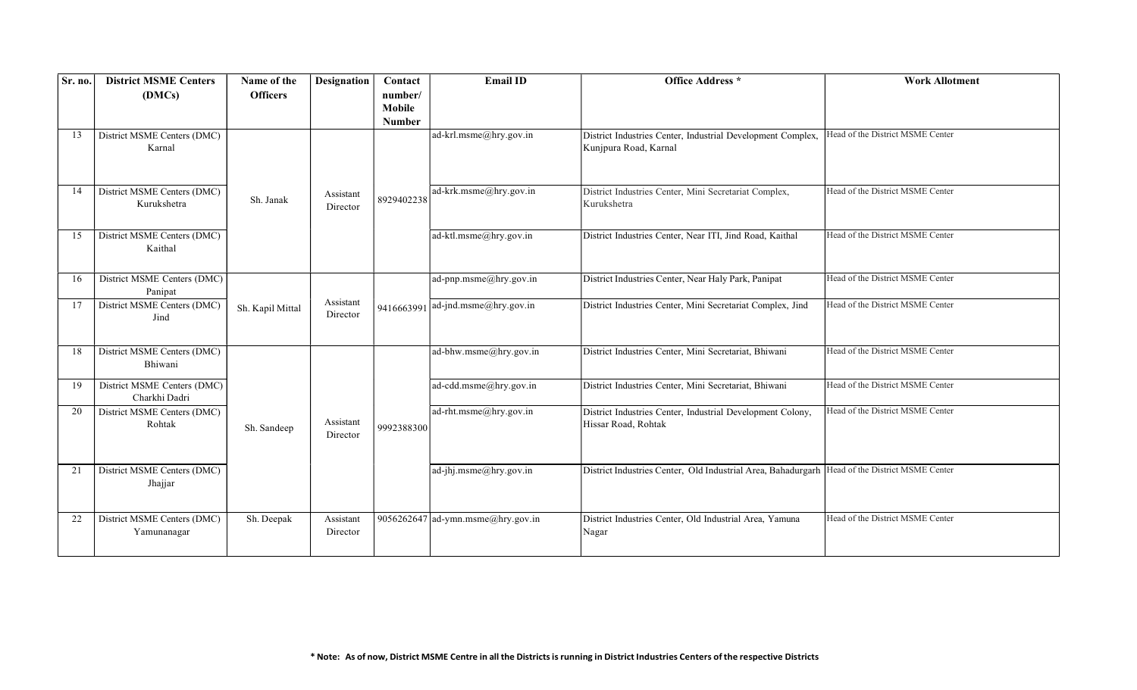| Sr. no. | <b>District MSME Centers</b><br>(DMCs)       | Name of the<br><b>Officers</b> | <b>Designation</b>    | Contact<br>number/      | <b>Email ID</b>                   | <b>Office Address</b> *                                                                        | <b>Work Allotment</b>            |
|---------|----------------------------------------------|--------------------------------|-----------------------|-------------------------|-----------------------------------|------------------------------------------------------------------------------------------------|----------------------------------|
|         |                                              |                                |                       | Mobile<br><b>Number</b> |                                   |                                                                                                |                                  |
| 13      | District MSME Centers (DMC)<br>Karnal        |                                |                       |                         | ad-krl.msme@hry.gov.in            | District Industries Center, Industrial Development Complex,<br>Kunjpura Road, Karnal           | Head of the District MSME Center |
| 14      | District MSME Centers (DMC)<br>Kurukshetra   | Sh. Janak                      | Assistant<br>Director | 8929402238              | ad-krk.msme@hry.gov.in            | District Industries Center, Mini Secretariat Complex,<br>Kurukshetra                           | Head of the District MSME Center |
| 15      | District MSME Centers (DMC)<br>Kaithal       |                                |                       |                         | ad-ktl.msme@hry.gov.in            | District Industries Center, Near ITI, Jind Road, Kaithal                                       | Head of the District MSME Center |
| 16      | District MSME Centers (DMC)<br>Panipat       |                                |                       |                         | ad-pnp.msme@hry.gov.in            | District Industries Center, Near Haly Park, Panipat                                            | Head of the District MSME Center |
| 17      | District MSME Centers (DMC)<br>Jind          | Sh. Kapil Mittal               | Assistant<br>Director |                         | 9416663991 ad-jnd.msme@hry.gov.in | District Industries Center, Mini Secretariat Complex, Jind                                     | Head of the District MSME Center |
| 18      | District MSME Centers (DMC)<br>Bhiwani       |                                |                       |                         | ad-bhw.msme@hry.gov.in            | District Industries Center, Mini Secretariat, Bhiwani                                          | Head of the District MSME Center |
| 19      | District MSME Centers (DMC)<br>Charkhi Dadri |                                |                       |                         | ad-cdd.msme@hry.gov.in            | District Industries Center, Mini Secretariat, Bhiwani                                          | Head of the District MSME Center |
| 20      | District MSME Centers (DMC)<br>Rohtak        | Sh. Sandeep                    | Assistant<br>Director | 9992388300              | ad-rht.msme@hry.gov.in            | District Industries Center, Industrial Development Colony,<br>Hissar Road, Rohtak              | Head of the District MSME Center |
| 21      | District MSME Centers (DMC)<br>Jhajjar       |                                |                       |                         | ad-jhj.msme@hry.gov.in            | District Industries Center, Old Industrial Area, Bahadurgarh  Head of the District MSME Center |                                  |
| 22      | District MSME Centers (DMC)<br>Yamunanagar   | Sh. Deepak                     | Assistant<br>Director |                         | 9056262647 ad-ymn.msme@hry.gov.in | District Industries Center, Old Industrial Area, Yamuna<br>Nagar                               | Head of the District MSME Center |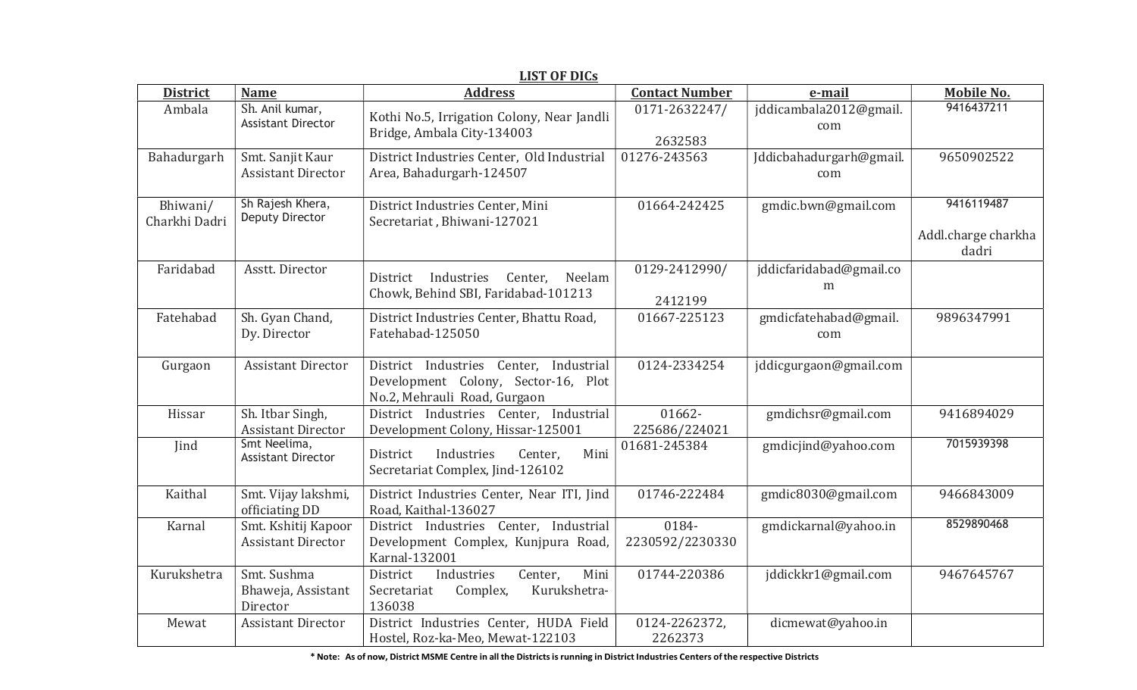| <b>District</b>           | <b>Name</b>                                      | <u>ыэт ог рісэ</u><br><b>Address</b>                                                                          | <b>Contact Number</b>    | e-mail                         | <b>Mobile No.</b>                          |
|---------------------------|--------------------------------------------------|---------------------------------------------------------------------------------------------------------------|--------------------------|--------------------------------|--------------------------------------------|
| Ambala                    | Sh. Anil kumar,<br><b>Assistant Director</b>     | Kothi No.5, Irrigation Colony, Near Jandli<br>Bridge, Ambala City-134003                                      | 0171-2632247/<br>2632583 | jddicambala2012@gmail.<br>com  | 9416437211                                 |
| Bahadurgarh               | Smt. Sanjit Kaur<br><b>Assistant Director</b>    | District Industries Center, Old Industrial<br>Area, Bahadurgarh-124507                                        | 01276-243563             | Jddicbahadurgarh@gmail.<br>com | 9650902522                                 |
| Bhiwani/<br>Charkhi Dadri | Sh Rajesh Khera,<br>Deputy Director              | District Industries Center, Mini<br>Secretariat, Bhiwani-127021                                               | 01664-242425             | gmdic.bwn@gmail.com            | 9416119487<br>Addl.charge charkha<br>dadri |
| Faridabad                 | Asstt. Director                                  | Industries<br>Center,<br>Neelam<br>District<br>Chowk, Behind SBI, Faridabad-101213                            | 0129-2412990/<br>2412199 | jddicfaridabad@gmail.co<br>m   |                                            |
| Fatehabad                 | Sh. Gyan Chand,<br>Dy. Director                  | District Industries Center, Bhattu Road,<br>Fatehabad-125050                                                  | 01667-225123             | gmdicfatehabad@gmail.<br>com   | 9896347991                                 |
| Gurgaon                   | <b>Assistant Director</b>                        | District Industries Center, Industrial<br>Development Colony, Sector-16, Plot<br>No.2, Mehrauli Road, Gurgaon | 0124-2334254             | jddicgurgaon@gmail.com         |                                            |
| Hissar                    | Sh. Itbar Singh,<br><b>Assistant Director</b>    | District Industries Center, Industrial<br>Development Colony, Hissar-125001                                   | 01662-<br>225686/224021  | gmdichsr@gmail.com             | 9416894029                                 |
| Jind                      | Smt Neelima,<br><b>Assistant Director</b>        | Industries<br>Mini<br>District<br>Center,<br>Secretariat Complex, Jind-126102                                 | 01681-245384             | gmdicjind@yahoo.com            | 7015939398                                 |
| Kaithal                   | Smt. Vijay lakshmi,<br>officiating DD            | District Industries Center, Near ITI, Jind<br>Road, Kaithal-136027                                            | 01746-222484             | gmdic8030@gmail.com            | 9466843009                                 |
| Karnal                    | Smt. Kshitij Kapoor<br><b>Assistant Director</b> | District Industries Center, Industrial<br>Development Complex, Kunjpura Road,<br>Karnal-132001                | 0184-<br>2230592/2230330 | gmdickarnal@yahoo.in           | 8529890468                                 |
| Kurukshetra               | Smt. Sushma<br>Bhaweja, Assistant<br>Director    | Industries<br>Center,<br>Mini<br>District<br>Complex,<br>Kurukshetra-<br>Secretariat<br>136038                | 01744-220386             | jddickkr1@gmail.com            | 9467645767                                 |
| Mewat                     | <b>Assistant Director</b>                        | District Industries Center, HUDA Field<br>Hostel, Roz-ka-Meo, Mewat-122103                                    | 0124-2262372,<br>2262373 | dicmewat@yahoo.in              |                                            |

## LIST OF DICs

\* Note: As of now, District MSME Centre in all the Districtsisrunning in District Industries Centers ofthe respective Districts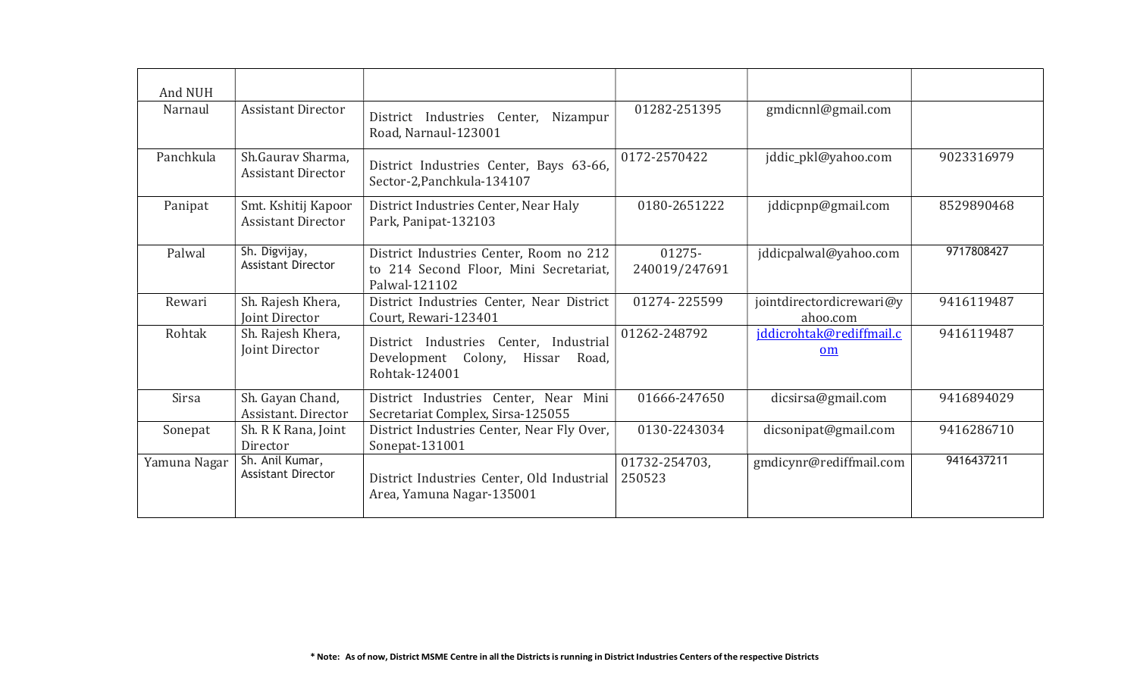| And NUH      |                                                  |                                                                                                    |                         |                                      |            |
|--------------|--------------------------------------------------|----------------------------------------------------------------------------------------------------|-------------------------|--------------------------------------|------------|
| Narnaul      | <b>Assistant Director</b>                        | District Industries Center, Nizampur<br>Road, Narnaul-123001                                       | 01282-251395            | gmdicnnl@gmail.com                   |            |
| Panchkula    | Sh.Gauray Sharma.<br><b>Assistant Director</b>   | District Industries Center, Bays 63-66,<br>Sector-2, Panchkula-134107                              | 0172-2570422            | jddic_pkl@yahoo.com                  | 9023316979 |
| Panipat      | Smt. Kshitij Kapoor<br><b>Assistant Director</b> | District Industries Center, Near Haly<br>Park, Panipat-132103                                      | 0180-2651222            | jddicpnp@gmail.com                   | 8529890468 |
| Palwal       | Sh. Digvijay,<br><b>Assistant Director</b>       | District Industries Center, Room no 212<br>to 214 Second Floor, Mini Secretariat,<br>Palwal-121102 | 01275-<br>240019/247691 | jddicpalwal@yahoo.com                | 9717808427 |
| Rewari       | Sh. Rajesh Khera,<br><b>Joint Director</b>       | District Industries Center, Near District<br>Court, Rewari-123401                                  | 01274-225599            | jointdirectordicrewari@y<br>ahoo.com | 9416119487 |
| Rohtak       | Sh. Rajesh Khera,<br>Joint Director              | District Industries Center, Industrial<br>Colony, Hissar<br>Development<br>Road,<br>Rohtak-124001  | 01262-248792            | jddicrohtak@rediffmail.c<br>om       | 9416119487 |
| Sirsa        | Sh. Gayan Chand,<br>Assistant. Director          | District Industries Center, Near<br>Mini<br>Secretariat Complex, Sirsa-125055                      | 01666-247650            | dicsirsa@gmail.com                   | 9416894029 |
| Sonepat      | Sh. R K Rana, Joint<br>Director                  | District Industries Center, Near Fly Over,<br>Sonepat-131001                                       | 0130-2243034            | dicsonipat@gmail.com                 | 9416286710 |
| Yamuna Nagar | Sh. Anil Kumar,<br><b>Assistant Director</b>     | District Industries Center, Old Industrial<br>Area, Yamuna Nagar-135001                            | 01732-254703,<br>250523 | gmdicynr@rediffmail.com              | 9416437211 |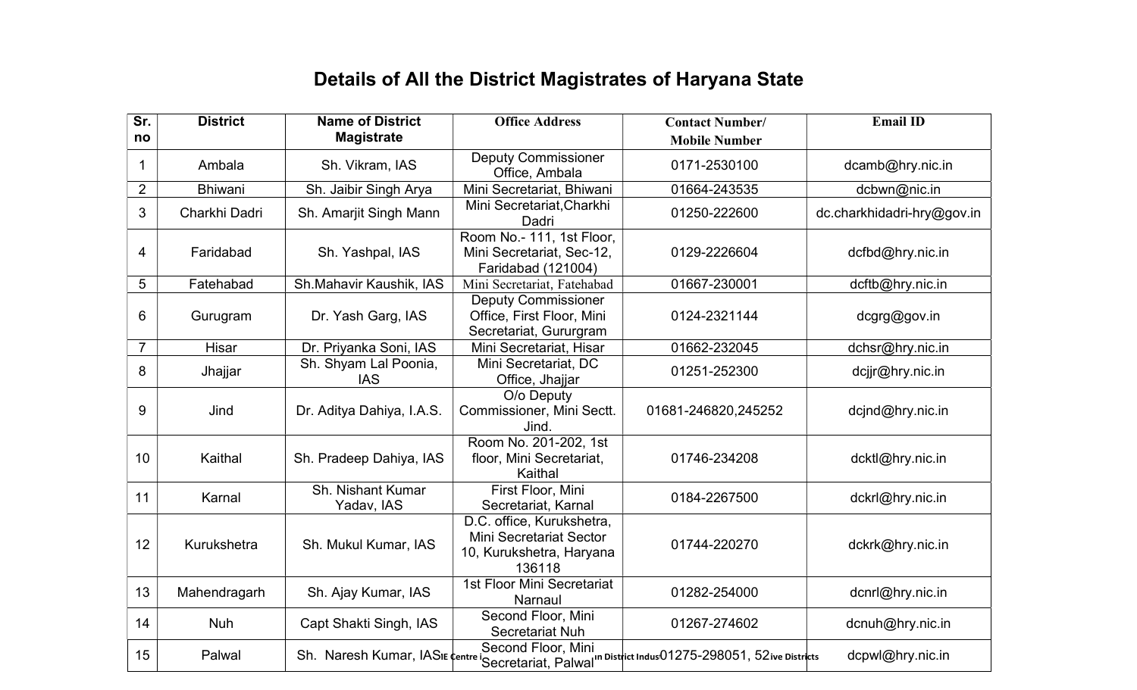## Details of All the District Magistrates of Haryana State

| Sr.            | <b>District</b> | <b>Name of District</b>             | <b>Office Address</b>                                                                      | <b>Contact Number/</b>                                                                           | <b>Email ID</b>            |
|----------------|-----------------|-------------------------------------|--------------------------------------------------------------------------------------------|--------------------------------------------------------------------------------------------------|----------------------------|
| no             |                 | <b>Magistrate</b>                   |                                                                                            | <b>Mobile Number</b>                                                                             |                            |
| 1              | Ambala          | Sh. Vikram, IAS                     | <b>Deputy Commissioner</b><br>Office, Ambala                                               | 0171-2530100                                                                                     | dcamb@hry.nic.in           |
| $\overline{2}$ | <b>Bhiwani</b>  | Sh. Jaibir Singh Arya               | Mini Secretariat, Bhiwani                                                                  | 01664-243535                                                                                     | dcbwn@nic.in               |
| 3              | Charkhi Dadri   | Sh. Amarjit Singh Mann              | Mini Secretariat, Charkhi<br>Dadri                                                         | 01250-222600                                                                                     | dc.charkhidadri-hry@gov.in |
| $\overline{4}$ | Faridabad       | Sh. Yashpal, IAS                    | Room No.- 111, 1st Floor,<br>Mini Secretariat, Sec-12,<br>Faridabad (121004)               | 0129-2226604                                                                                     | dcfbd@hry.nic.in           |
| 5              | Fatehabad       | Sh.Mahavir Kaushik, IAS             | Mini Secretariat, Fatehabad                                                                | 01667-230001                                                                                     | dcftb@hry.nic.in           |
| 6              | Gurugram        | Dr. Yash Garg, IAS                  | <b>Deputy Commissioner</b><br>Office, First Floor, Mini<br>Secretariat, Gururgram          | 0124-2321144                                                                                     | dcgrg@gov.in               |
| $\overline{7}$ | Hisar           | Dr. Priyanka Soni, IAS              | Mini Secretariat, Hisar                                                                    | 01662-232045                                                                                     | dchsr@hry.nic.in           |
| 8              | Jhajjar         | Sh. Shyam Lal Poonia,<br><b>IAS</b> | Mini Secretariat, DC<br>Office, Jhajjar                                                    | 01251-252300                                                                                     | dcjjr@hry.nic.in           |
| 9              | Jind            | Dr. Aditya Dahiya, I.A.S.           | O/o Deputy<br>Commissioner, Mini Sectt.<br>Jind.                                           | 01681-246820,245252                                                                              | dcjnd@hry.nic.in           |
| 10             | Kaithal         | Sh. Pradeep Dahiya, IAS             | Room No. 201-202, 1st<br>floor, Mini Secretariat,<br>Kaithal                               | 01746-234208                                                                                     | dcktl@hry.nic.in           |
| 11             | Karnal          | Sh. Nishant Kumar<br>Yadav, IAS     | First Floor, Mini<br>Secretariat, Karnal                                                   | 0184-2267500                                                                                     | dckrl@hry.nic.in           |
| 12             | Kurukshetra     | Sh. Mukul Kumar, IAS                | D.C. office, Kurukshetra,<br>Mini Secretariat Sector<br>10, Kurukshetra, Haryana<br>136118 | 01744-220270                                                                                     | dckrk@hry.nic.in           |
| 13             | Mahendragarh    | Sh. Ajay Kumar, IAS                 | 1st Floor Mini Secretariat<br>Narnaul                                                      | 01282-254000                                                                                     | dcnrl@hry.nic.in           |
| 14             | <b>Nuh</b>      | Capt Shakti Singh, IAS              | Second Floor, Mini<br>Secretariat Nuh                                                      | 01267-274602                                                                                     | dcnuh@hry.nic.in           |
| 15             | Palwal          |                                     | Second Floor, Mini                                                                         | Sh. Naresh Kumar, IASIE centre iSecretariat, Palwal" District Indus01275-298051, 52ive Districts | dcpwl@hry.nic.in           |